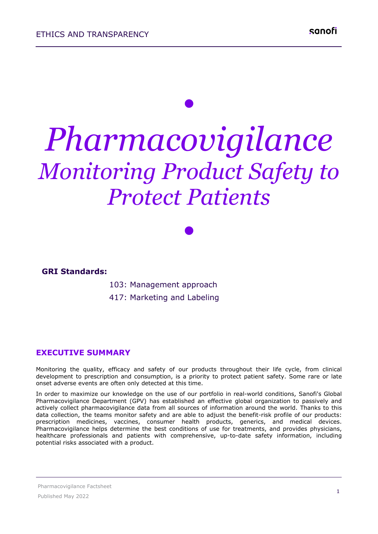# *• Pharmacovigilance Monitoring Product Safety to Protect Patients*

*•*

### **GRI Standards:**

103: Management approach

417: Marketing and Labeling

### **EXECUTIVE SUMMARY**

Monitoring the quality, efficacy and safety of our products throughout their life cycle, from clinical development to prescription and consumption, is a priority to protect patient safety. Some rare or late onset adverse events are often only detected at this time.

In order to maximize our knowledge on the use of our portfolio in real-world conditions, Sanofi's Global Pharmacovigilance Department (GPV) has established an effective global organization to passively and actively collect pharmacovigilance data from all sources of information around the world. Thanks to this data collection, the teams monitor safety and are able to adjust the benefit-risk profile of our products: prescription medicines, vaccines, consumer health products, generics, and medical devices. Pharmacovigilance helps determine the best conditions of use for treatments, and provides physicians, healthcare professionals and patients with comprehensive, up-to-date safety information, including potential risks associated with a product.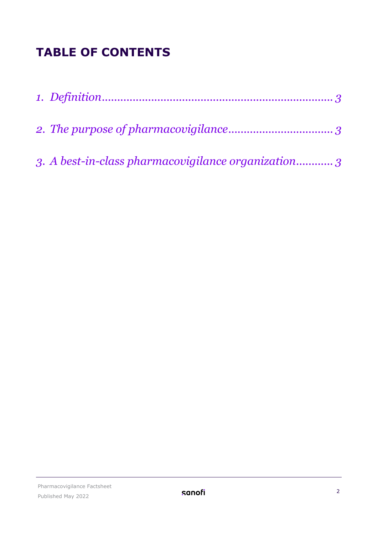## **TABLE OF CONTENTS**

| 3. A best-in-class pharmacovigilance organization 3 |  |
|-----------------------------------------------------|--|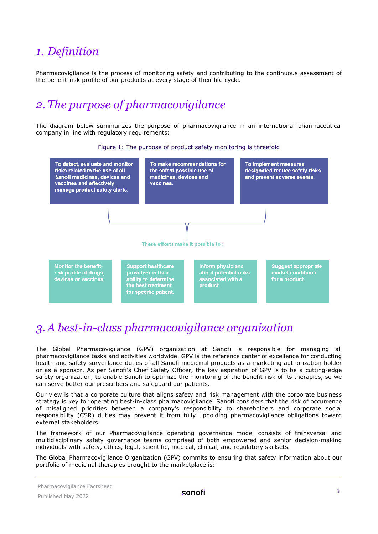## <span id="page-2-0"></span>*1. Definition*

Pharmacovigilance is the process of monitoring safety and contributing to the continuous assessment of the benefit-risk profile of our products at every stage of their life cycle.

## <span id="page-2-1"></span>*2. The purpose of pharmacovigilance*

The diagram below summarizes the purpose of pharmacovigilance in an international pharmaceutical company in line with regulatory requirements:



## <span id="page-2-2"></span>*3. A best-in-class pharmacovigilance organization*

The Global Pharmacovigilance (GPV) organization at Sanofi is responsible for managing all pharmacovigilance tasks and activities worldwide. GPV is the reference center of excellence for conducting health and safety surveillance duties of all Sanofi medicinal products as a marketing authorization holder or as a sponsor. As per Sanofi's Chief Safety Officer, the key aspiration of GPV is to be a cutting-edge safety organization, to enable Sanofi to optimize the monitoring of the benefit-risk of its therapies, so we can serve better our prescribers and safeguard our patients.

Our view is that a corporate culture that aligns safety and risk management with the corporate business strategy is key for operating best-in-class pharmacovigilance. Sanofi considers that the risk of occurrence of misaligned priorities between a company's responsibility to shareholders and corporate social responsibility (CSR) duties may prevent it from fully upholding pharmacovigilance obligations toward external stakeholders.

The framework of our Pharmacovigilance operating governance model consists of transversal and multidisciplinary safety governance teams comprised of both empowered and senior decision-making individuals with safety, ethics, legal, scientific, medical, clinical, and regulatory skillsets.

The Global Pharmacovigilance Organization (GPV) commits to ensuring that safety information about our portfolio of medicinal therapies brought to the marketplace is:

#### Pharmacovigilance Factsheet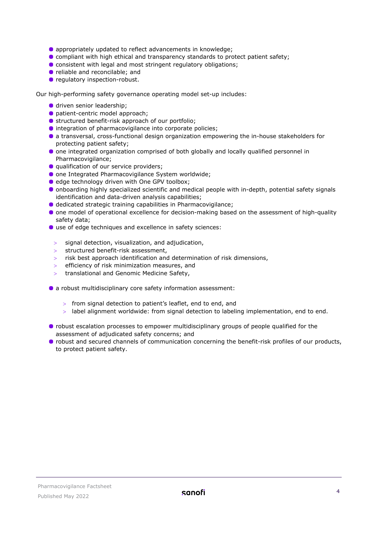- appropriately updated to reflect advancements in knowledge;
- **Compliant with high ethical and transparency standards to protect patient safety;**
- **C** consistent with legal and most stringent regulatory obligations;
- **•** reliable and reconcilable; and
- **•** regulatory inspection-robust.

Our high-performing safety governance operating model set-up includes:

- **O** driven senior leadership;
- **O** patient-centric model approach;
- structured benefit-risk approach of our portfolio;
- $\bullet$  integration of pharmacovigilance into corporate policies;
- a transversal, cross-functional design organization empowering the in-house stakeholders for protecting patient safety;
- **O** one integrated organization comprised of both globally and locally qualified personnel in Pharmacovigilance;
- **Q** qualification of our service providers;
- one Integrated Pharmacovigilance System worldwide;
- edge technology driven with One GPV toolbox;
- onboarding highly specialized scientific and medical people with in-depth, potential safety signals identification and data-driven analysis capabilities;
- $\bullet$  dedicated strategic training capabilities in Pharmacovigilance;
- **O** one model of operational excellence for decision-making based on the assessment of high-quality safety data;
- use of edge techniques and excellence in safety sciences:
- > signal detection, visualization, and adjudication,
- > structured benefit-risk assessment,
- $>$  risk best approach identification and determination of risk dimensions,
- efficiency of risk minimization measures, and
- > translational and Genomic Medicine Safety,
- a robust multidisciplinary core safety information assessment:
	- > from signal detection to patient's leaflet, end to end, and
	- $>$  label alignment worldwide: from signal detection to labeling implementation, end to end.
- robust escalation processes to empower multidisciplinary groups of people qualified for the assessment of adjudicated safety concerns; and
- **•** robust and secured channels of communication concerning the benefit-risk profiles of our products, to protect patient safety.